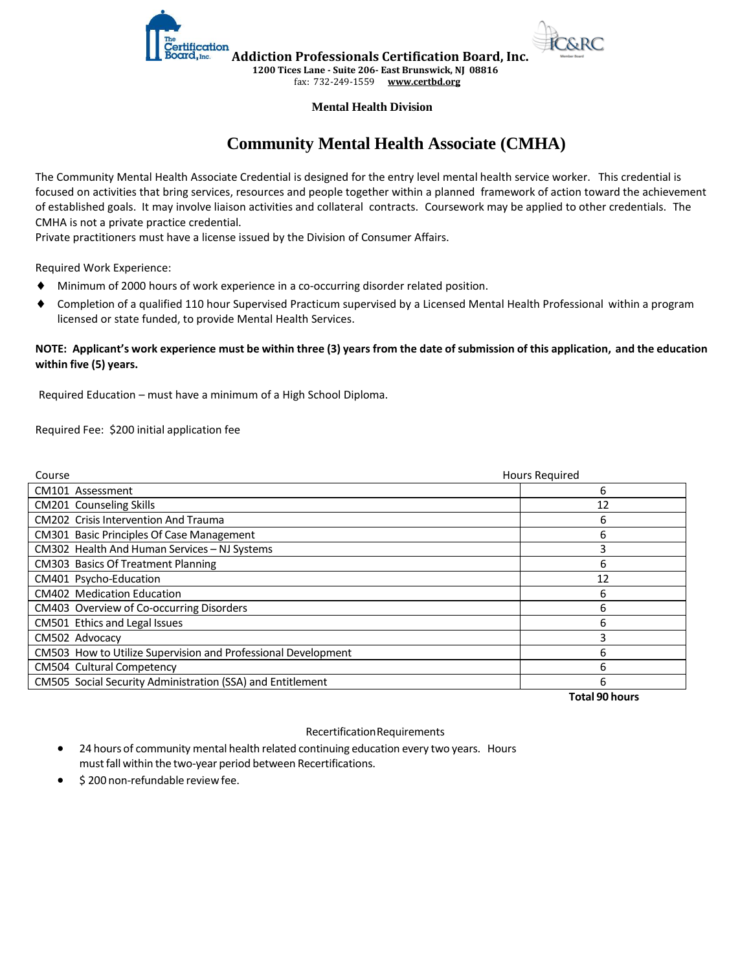

**Addiction Professionals Certification Board, Inc. 1200 Tices Lane - Suite 206- East Brunswick, NJ 08816**

fax: 732-249-1559 **[www.certbd.org](http://www.certbd.org/)** 

#### **Mental Health Division**

# **Community Mental Health Associate (CMHA)**

The Community Mental Health Associate Credential is designed for the entry level mental health service worker. This credential is focused on activities that bring services, resources and people together within a planned framework of action toward the achievement of established goals. It may involve liaison activities and collateral contracts. Coursework may be applied to other credentials. The CMHA is not a private practice credential.

Private practitioners must have a license issued by the Division of Consumer Affairs.

Required Work Experience:

- Minimum of 2000 hours of work experience in a co-occurring disorder related position.
- Completion of a qualified 110 hour Supervised Practicum supervised by a Licensed Mental Health Professional within a program licensed or state funded, to provide Mental Health Services.

#### **NOTE: Applicant's work experience must be within three (3) years from the date of submission of this application, and the education within five (5) years.**

Required Education – must have a minimum of a High School Diploma.

Required Fee: \$200 initial application fee

| Course                                                        | <b>Hours Required</b> |
|---------------------------------------------------------------|-----------------------|
| CM101 Assessment                                              | 6                     |
| CM201 Counseling Skills                                       | 12                    |
| CM202 Crisis Intervention And Trauma                          | 6                     |
| <b>CM301 Basic Principles Of Case Management</b>              | 6                     |
| CM302 Health And Human Services - NJ Systems                  |                       |
| <b>CM303 Basics Of Treatment Planning</b>                     | h                     |
| CM401 Psycho-Education                                        | 12                    |
| <b>CM402</b> Medication Education                             | 6                     |
| CM403 Overview of Co-occurring Disorders                      | 6                     |
| CM501 Ethics and Legal Issues                                 | h                     |
| CM502 Advocacy                                                |                       |
| CM503 How to Utilize Supervision and Professional Development | h                     |
| CM504 Cultural Competency                                     | 6                     |
| CM505 Social Security Administration (SSA) and Entitlement    | n                     |

**Total 90 hours**

#### Recertification Requirements

- 24 hours of community mental health related continuing education every two years. Hours must fall within the two-year period between Recertifications.
- \$200 non-refundable review fee.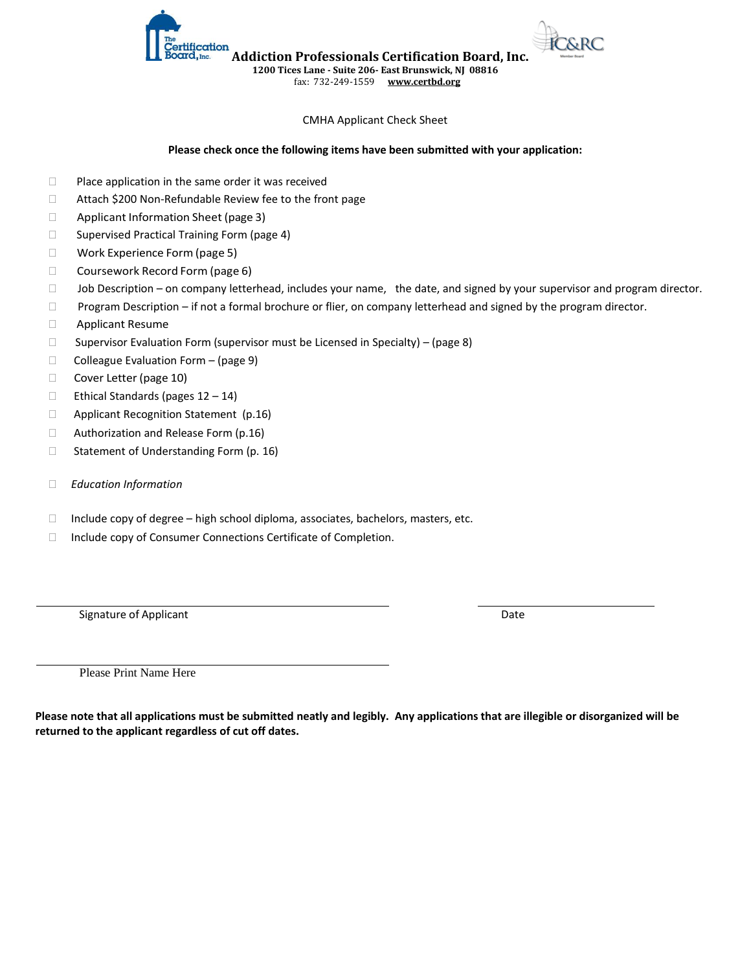**Addiction Professionals Certification Board, Inc.**

**1200 Tices Lane - Suite 206- East Brunswick, NJ 08816**

fax: 732-249-1559 **[www.certbd.org](http://www.certbd.org/)** 

#### CMHA Applicant Check Sheet

#### **Please check once the following items have been submitted with your application:**

- $\Box$  Place application in the same order it was received
- □ Attach \$200 Non-Refundable Review fee to the front page

tification

- □ Applicant Information Sheet (page 3)
- $\square$  Supervised Practical Training Form (page 4)
- □ Work Experience Form (page 5)
- □ Coursework Record Form (page 6)
- $\square$  Job Description on company letterhead, includes your name, the date, and signed by your supervisor and program director.
- □ Program Description if not a formal brochure or flier, on company letterhead and signed by the program director.
- Applicant Resume
- $\Box$  Supervisor Evaluation Form (supervisor must be Licensed in Specialty) (page 8)
- $\Box$  Colleague Evaluation Form (page 9)
- Cover Letter (page 10)
- $\Box$  Ethical Standards (pages 12 14)
- □ Applicant Recognition Statement (p.16)
- $\Box$  Authorization and Release Form (p.16)
- $\Box$  Statement of Understanding Form (p. 16)
- *Education Information*
- $\Box$  Include copy of degree high school diploma, associates, bachelors, masters, etc.
- □ Include copy of Consumer Connections Certificate of Completion.

Signature of Applicant Date of Applicant Date of Applicant Date of Applicant Date of Applicant Date of Applicant Date of Applicant Date of Applicant Date of Applicant Date of Applicant Date of Applicant Date of Applicant D

Please Print Name Here

**Please note that all applications must be submitted neatly and legibly. Any applications that are illegible or disorganized will be returned to the applicant regardless of cut off dates.**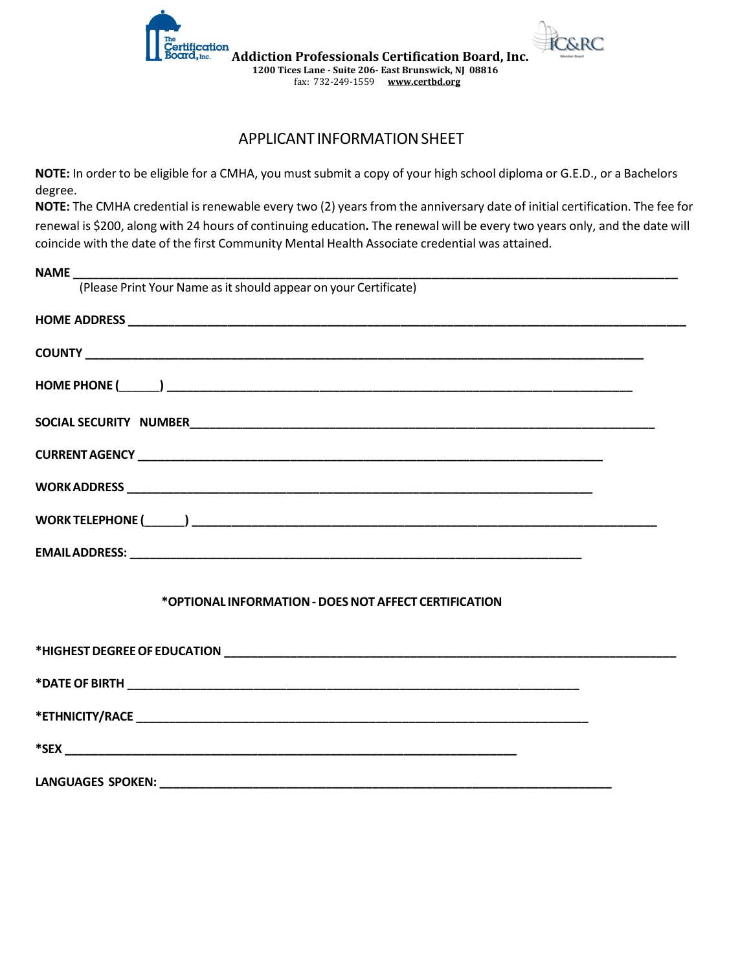

### APPLICANT INFORMATION SHEET

**NOTE:** In order to be eligible for a CMHA, you must submit a copy of your high school diploma or G.E.D., or a Bachelors degree.

**NOTE:** The CMHA credential is renewable every two (2) years from the anniversary date of initial certification. The fee for renewal is \$200, along with 24 hours of continuing education**.** The renewal will be every two years only, and the date will coincide with the date of the first Community Mental Health Associate credential was attained.

| <b>NAME</b>                                                      |
|------------------------------------------------------------------|
| (Please Print Your Name as it should appear on your Certificate) |
|                                                                  |
|                                                                  |
|                                                                  |
|                                                                  |
|                                                                  |
|                                                                  |
|                                                                  |
|                                                                  |
| *OPTIONAL INFORMATION - DOES NOT AFFECT CERTIFICATION            |
|                                                                  |
|                                                                  |
|                                                                  |
|                                                                  |
|                                                                  |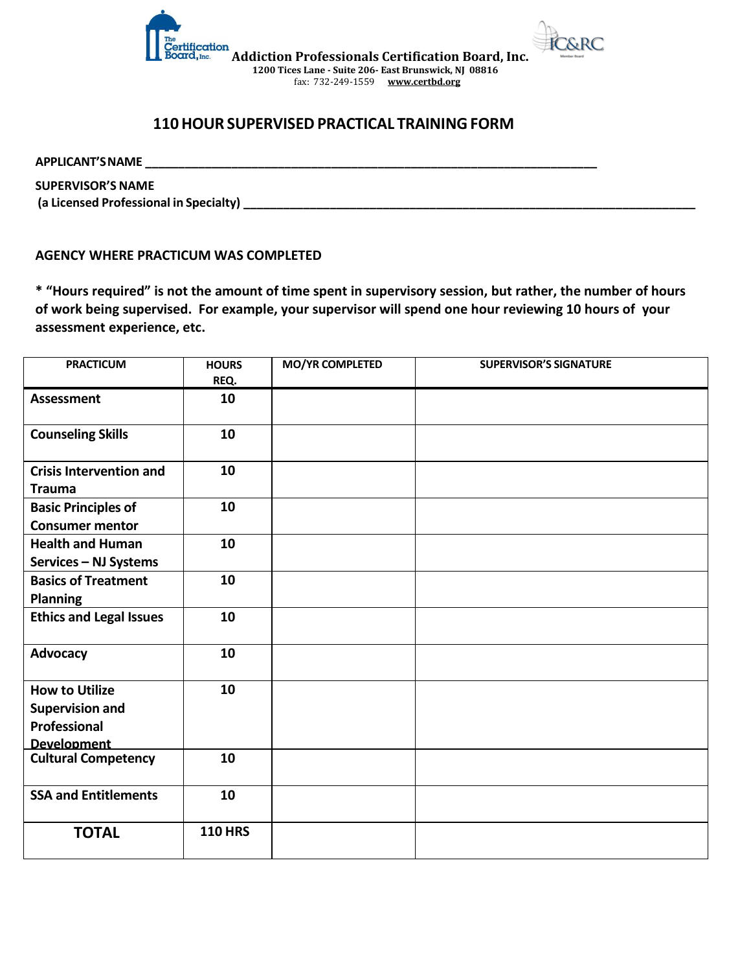

### **110 HOUR SUPERVISED PRACTICAL TRAINING FORM**

**APPLICANT'S NAME \_\_\_\_\_\_\_\_\_\_\_\_\_\_\_\_\_\_\_\_\_\_\_\_\_\_\_\_\_\_\_\_\_\_\_\_\_\_\_\_\_\_\_\_\_\_\_\_\_\_\_\_\_\_\_\_\_\_\_\_\_\_\_\_\_\_\_\_**

**SUPERVISOR'S NAME (a Licensed Professional in Specialty) \_\_\_\_\_\_\_\_\_\_\_\_\_\_\_\_\_\_\_\_\_\_\_\_\_\_\_\_\_\_\_\_\_\_\_\_\_\_\_\_\_\_\_\_\_\_\_\_\_\_\_\_\_\_\_\_\_\_\_\_\_\_\_\_\_\_\_\_**

### **AGENCY WHERE PRACTICUM WAS COMPLETED**

**\* "Hours required" is not the amount of time spent in supervisory session, but rather, the number of hours of work being supervised. For example, your supervisor will spend one hour reviewing 10 hours of your assessment experience, etc.**

| <b>PRACTICUM</b>                                | <b>HOURS</b>   | <b>MO/YR COMPLETED</b> | <b>SUPERVISOR'S SIGNATURE</b> |
|-------------------------------------------------|----------------|------------------------|-------------------------------|
|                                                 | REQ.           |                        |                               |
| <b>Assessment</b>                               | 10             |                        |                               |
| <b>Counseling Skills</b>                        | 10             |                        |                               |
| <b>Crisis Intervention and</b><br><b>Trauma</b> | 10             |                        |                               |
| <b>Basic Principles of</b>                      | 10             |                        |                               |
| <b>Consumer mentor</b>                          |                |                        |                               |
| <b>Health and Human</b>                         | 10             |                        |                               |
| Services - NJ Systems                           |                |                        |                               |
| <b>Basics of Treatment</b>                      | 10             |                        |                               |
| <b>Planning</b>                                 |                |                        |                               |
| <b>Ethics and Legal Issues</b>                  | 10             |                        |                               |
| Advocacy                                        | 10             |                        |                               |
| <b>How to Utilize</b>                           | 10             |                        |                               |
| <b>Supervision and</b>                          |                |                        |                               |
| Professional                                    |                |                        |                               |
| <b>Development</b>                              |                |                        |                               |
| <b>Cultural Competency</b>                      | 10             |                        |                               |
| <b>SSA and Entitlements</b>                     | 10             |                        |                               |
| <b>TOTAL</b>                                    | <b>110 HRS</b> |                        |                               |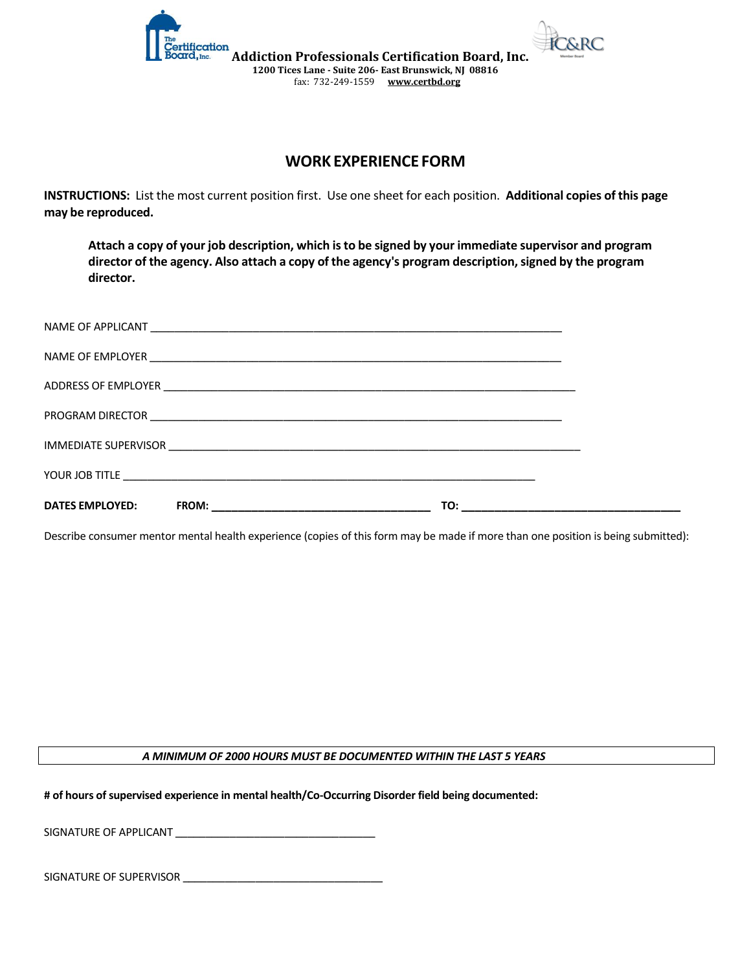

**Addiction Professionals Certification Board, Inc. 1200 Tices Lane - Suite 206- East Brunswick, NJ 08816** fax: 732-249-1559 **[www.certbd.org](http://www.certbd.org/)** 

### **WORK EXPERIENCE FORM**

**INSTRUCTIONS:** List the most current position first. Use one sheet for each position. **Additional copies of this page may be reproduced.**

**Attach a copy of your job description, which isto be signed by your immediate supervisor and program director of the agency. Also attach a copy of the agency's program description, signed by the program director.**

| <b>DATES EMPLOYED:</b> |  |
|------------------------|--|

Describe consumer mentor mental health experience (copies of this form may be made if more than one position is being submitted):

#### *A MINIMUM OF 2000 HOURS MUST BE DOCUMENTED WITHIN THE LAST 5 YEARS*

**# of hours of supervised experience in mental health/Co-Occurring Disorder field being documented:** 

SIGNATURE OF APPLICANT **\_\_\_\_\_\_\_\_\_\_\_\_\_\_\_\_\_\_\_\_\_\_\_\_\_\_\_\_\_\_\_\_\_**

SIGNATURE OF SUPERVISOR **\_\_\_\_\_\_\_\_\_\_\_\_\_\_\_\_\_\_\_\_\_\_\_\_\_\_\_\_\_\_\_\_\_**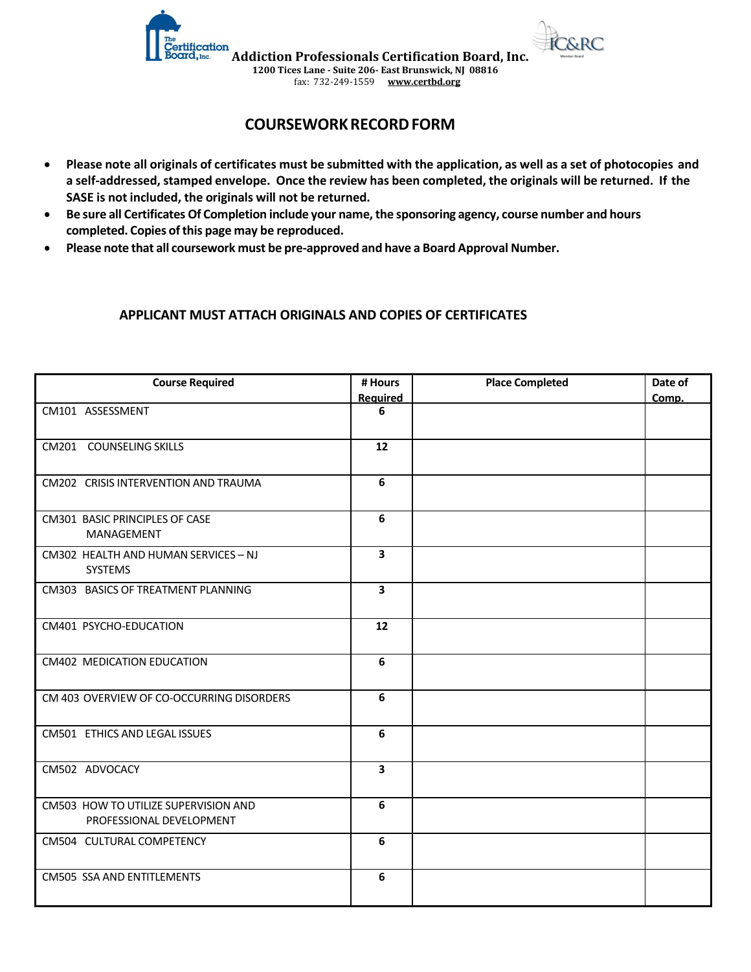

### **COURSEWORK RECORD FORM**

- **Please note all originals of certificates must be submitted with the application, as well as a set of photocopies and a self-addressed, stamped envelope. Once the review has been completed, the originals will be returned. If the SASE is not included, the originals will not be returned.**
- **Be sure all Certificates Of Completion include your name, the sponsoring agency, course number and hours completed. Copies of this page may be reproduced.**
- **Please note that all coursework must be pre-approved and have a Board Approval Number.**

### **APPLICANT MUST ATTACH ORIGINALS AND COPIES OF CERTIFICATES**

| <b>Course Required</b>                                           | # Hours         | <b>Place Completed</b> | Date of |
|------------------------------------------------------------------|-----------------|------------------------|---------|
|                                                                  | <b>Required</b> |                        | Comp.   |
| CM101 ASSESSMENT                                                 | 6               |                        |         |
| CM201 COUNSELING SKILLS                                          | 12              |                        |         |
| CM202 CRISIS INTERVENTION AND TRAUMA                             | 6               |                        |         |
| CM301 BASIC PRINCIPLES OF CASE<br>MANAGEMENT                     | 6               |                        |         |
| CM302 HEALTH AND HUMAN SERVICES - NJ<br><b>SYSTEMS</b>           | 3               |                        |         |
| CM303 BASICS OF TREATMENT PLANNING                               | 3               |                        |         |
| CM401 PSYCHO-EDUCATION                                           | 12              |                        |         |
| CM402 MEDICATION EDUCATION                                       | 6               |                        |         |
| CM 403 OVERVIEW OF CO-OCCURRING DISORDERS                        | 6               |                        |         |
| CM501 ETHICS AND LEGAL ISSUES                                    | 6               |                        |         |
| CM502 ADVOCACY                                                   | 3               |                        |         |
| CM503 HOW TO UTILIZE SUPERVISION AND<br>PROFESSIONAL DEVELOPMENT | 6               |                        |         |
| CM504 CULTURAL COMPETENCY                                        | 6               |                        |         |
| <b>CM505 SSA AND ENTITLEMENTS</b>                                | 6               |                        |         |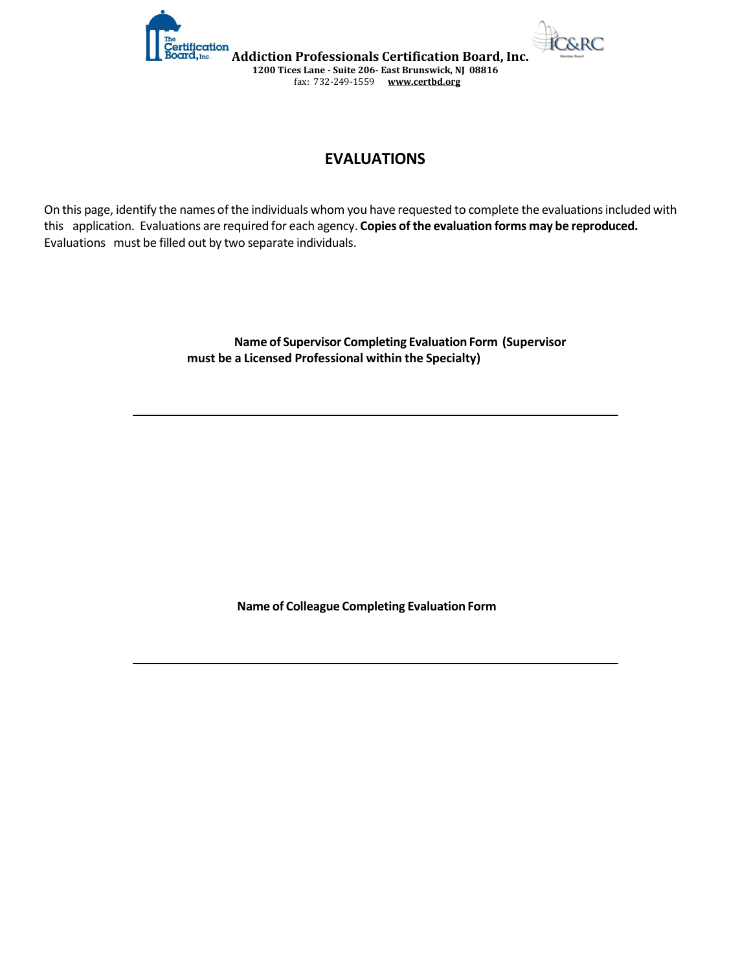



**Addiction Professionals Certification Board, Inc. 1200 Tices Lane - Suite 206- East Brunswick, NJ 08816** fax: 732-249-1559 **[www.certbd.org](http://www.certbd.org/)** 

# **EVALUATIONS**

On this page, identify the names of the individuals whom you have requested to complete the evaluations included with this application. Evaluations are required for each agency. **Copies of the evaluation forms may be reproduced.**  Evaluations must be filled out by two separate individuals.

> **Name of Supervisor Completing Evaluation Form (Supervisor must be a Licensed Professional within the Specialty)**

> > **Name of Colleague Completing Evaluation Form**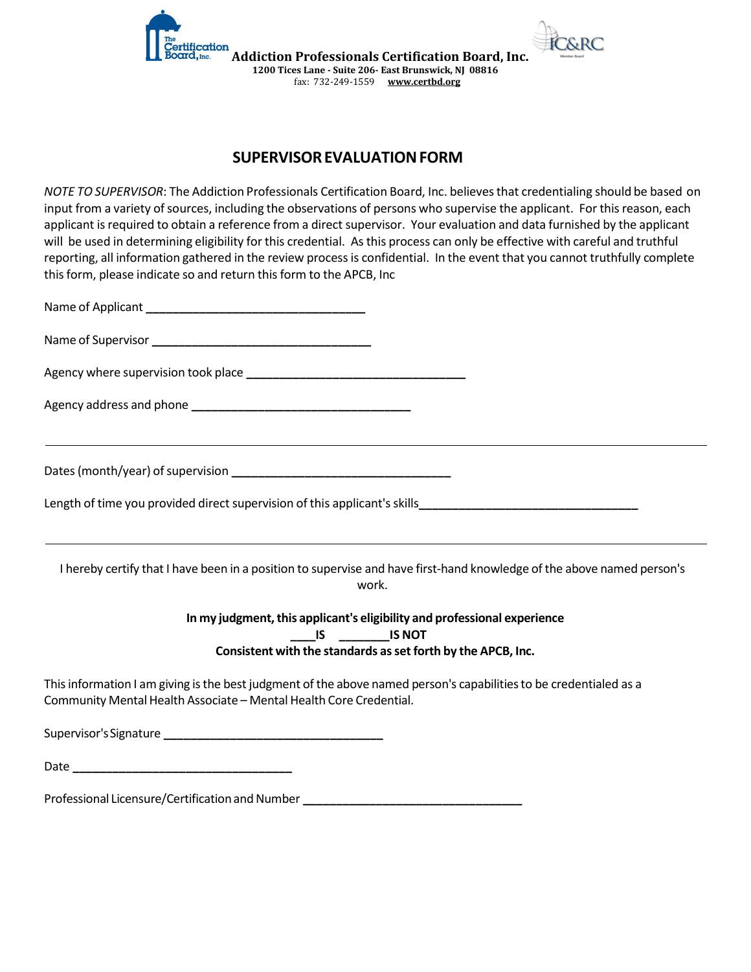

**Addiction Professionals Certification Board, Inc. 1200 Tices Lane - Suite 206- East Brunswick, NJ 08816** fax: 732-249-1559 **[www.certbd.org](http://www.certbd.org/)** 

# **SUPERVISOR EVALUATION FORM**

*NOTE TO SUPERVISOR*: The Addiction Professionals Certification Board, Inc. believes that credentialing should be based on input from a variety of sources, including the observations of persons who supervise the applicant. For this reason, each applicant is required to obtain a reference from a direct supervisor. Your evaluation and data furnished by the applicant will be used in determining eligibility for this credential. As this process can only be effective with careful and truthful reporting, all information gathered in the review process is confidential. In the event that you cannot truthfully complete this form, please indicate so and return this form to the APCB, Inc

| Length of time you provided direct supervision of this applicant's skills Length of time you provided direct supervision of this applicant's skills                                                                                                                                                                                                                                             |
|-------------------------------------------------------------------------------------------------------------------------------------------------------------------------------------------------------------------------------------------------------------------------------------------------------------------------------------------------------------------------------------------------|
| I hereby certify that I have been in a position to supervise and have first-hand knowledge of the above named person's<br>work.                                                                                                                                                                                                                                                                 |
| In my judgment, this applicant's eligibility and professional experience<br>$\frac{1}{2}$ $\frac{1}{2}$ $\frac{1}{2}$ $\frac{1}{2}$ $\frac{1}{2}$ $\frac{1}{2}$ $\frac{1}{2}$ $\frac{1}{2}$ $\frac{1}{2}$ $\frac{1}{2}$ $\frac{1}{2}$ $\frac{1}{2}$ $\frac{1}{2}$ $\frac{1}{2}$ $\frac{1}{2}$ $\frac{1}{2}$ $\frac{1}{2}$ $\frac{1}{2}$ $\frac{1}{2}$ $\frac{1}{2}$ $\frac{1}{2}$ $\frac{1}{2}$ |
| Consistent with the standards as set forth by the APCB, Inc.                                                                                                                                                                                                                                                                                                                                    |
| This information I am giving is the best judgment of the above named person's capabilities to be credentialed as a<br>Community Mental Health Associate - Mental Health Core Credential.                                                                                                                                                                                                        |
|                                                                                                                                                                                                                                                                                                                                                                                                 |
|                                                                                                                                                                                                                                                                                                                                                                                                 |

Professional Licensure/Certification and Number **\_\_\_\_\_\_\_\_\_\_\_\_\_\_\_\_\_\_\_\_\_\_\_\_\_\_\_\_\_\_\_\_\_**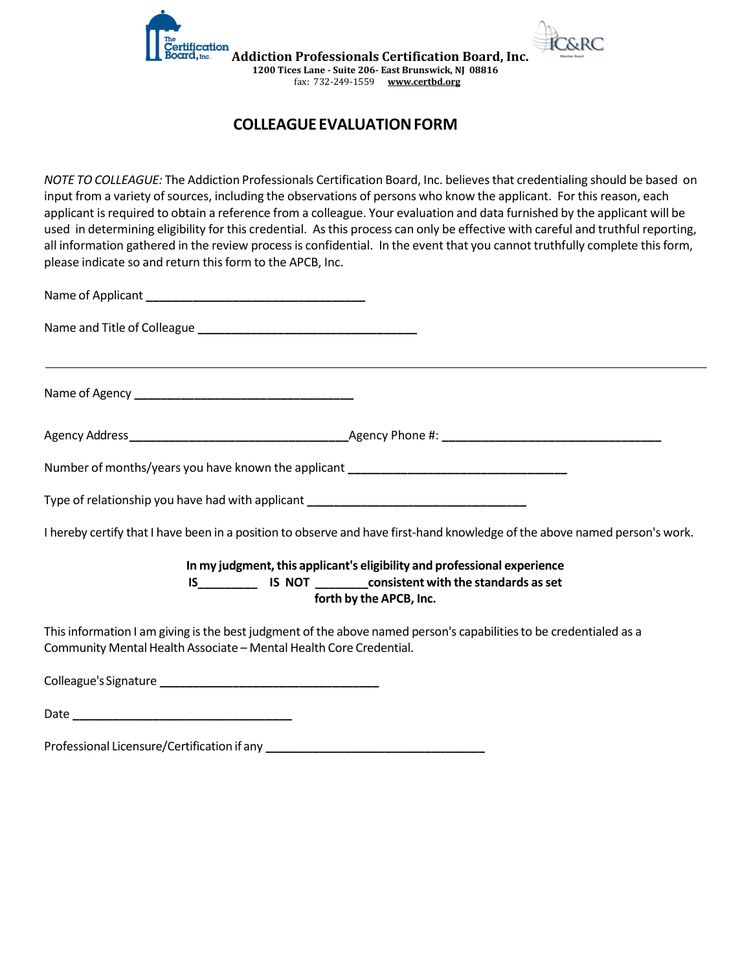

# **COLLEAGUE EVALUATION FORM**

*NOTE TO COLLEAGUE:* The Addiction Professionals Certification Board, Inc. believes that credentialing should be based on input from a variety of sources, including the observations of persons who know the applicant. For this reason, each applicant is required to obtain a reference from a colleague. Your evaluation and data furnished by the applicant will be used in determining eligibility for this credential. As this process can only be effective with careful and truthful reporting, all information gathered in the review process is confidential. In the event that you cannot truthfully complete this form, please indicate so and return this form to the APCB, Inc.

| Number of months/years you have known the applicant ____________________________                                                                                                         |
|------------------------------------------------------------------------------------------------------------------------------------------------------------------------------------------|
| Type of relationship you have had with applicant _______________________________                                                                                                         |
| I hereby certify that I have been in a position to observe and have first-hand knowledge of the above named person's work.                                                               |
| In my judgment, this applicant's eligibility and professional experience                                                                                                                 |
| IS_________________ IS_NOT _____________consistent with the standards as set<br>forth by the APCB, Inc.                                                                                  |
| This information I am giving is the best judgment of the above named person's capabilities to be credentialed as a<br>Community Mental Health Associate - Mental Health Core Credential. |
|                                                                                                                                                                                          |

Date **\_\_\_\_\_\_\_\_\_\_\_\_\_\_\_\_\_\_\_\_\_\_\_\_\_\_\_\_\_\_\_\_\_**

Professional Licensure/Certification if any **\_\_\_\_\_\_\_\_\_\_\_\_\_\_\_\_\_\_\_\_\_\_\_\_\_\_\_\_\_\_\_\_\_**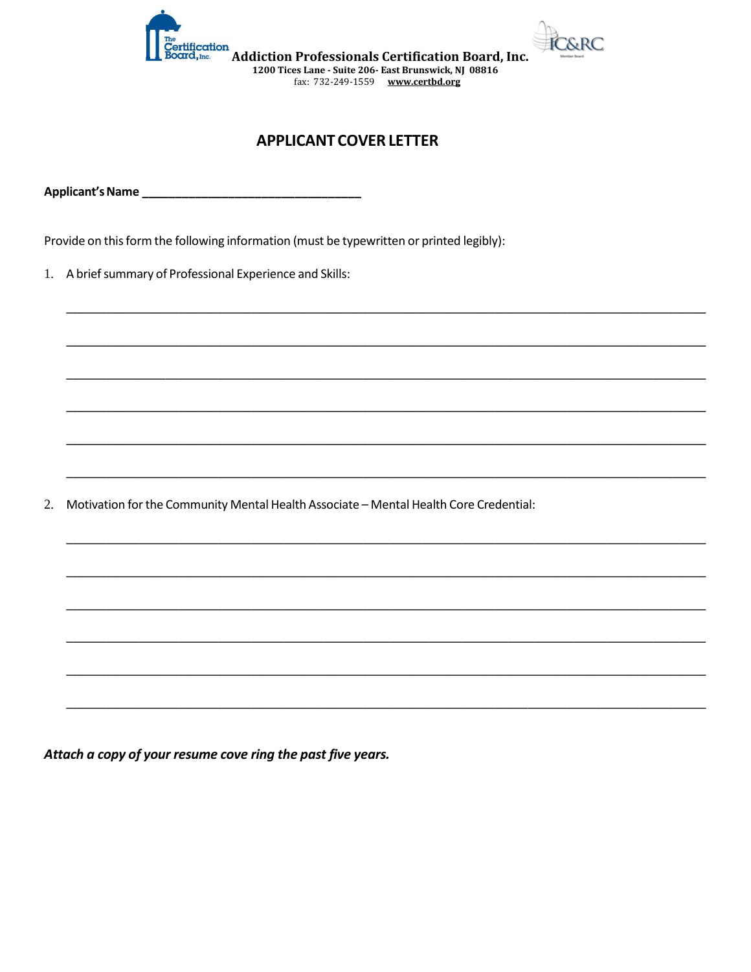

# **APPLICANT COVER LETTER**

Applicant's Name\_

Provide on this form the following information (must be typewritten or printed legibly):

1. A brief summary of Professional Experience and Skills:

Motivation for the Community Mental Health Associate - Mental Health Core Credential: 2.

Attach a copy of your resume cove ring the past five years.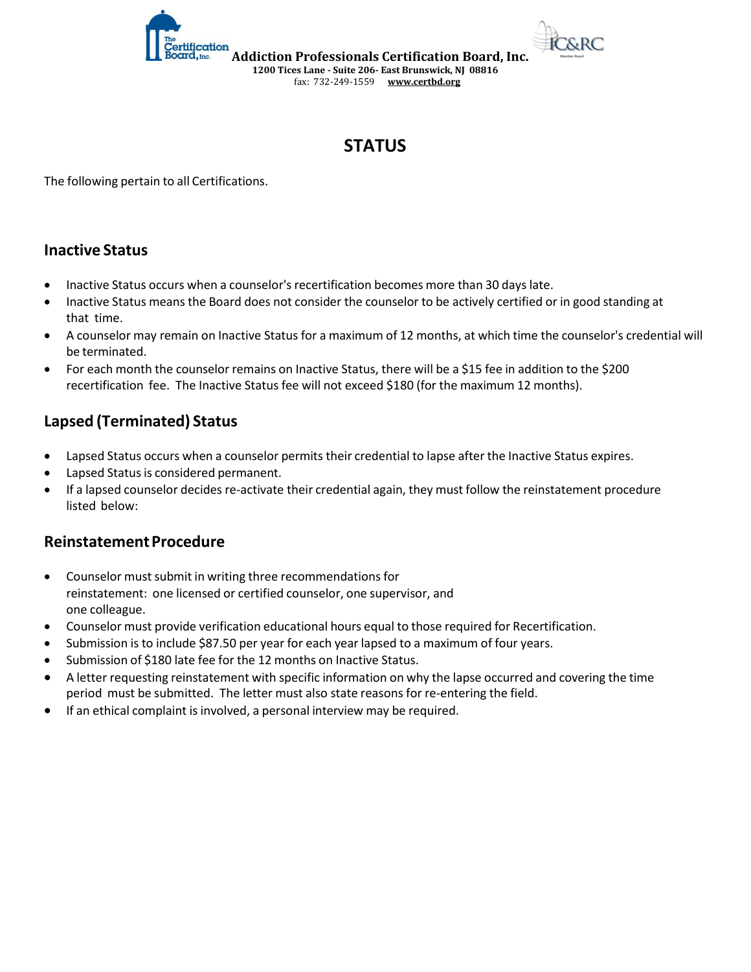



# **STATUS**

The following pertain to all Certifications.

# **Inactive Status**

- Inactive Status occurs when a counselor's recertification becomes more than 30 days late.
- Inactive Status means the Board does not consider the counselor to be actively certified or in good standing at that time.
- A counselor may remain on Inactive Status for a maximum of 12 months, at which time the counselor's credential will be terminated.
- For each month the counselor remains on Inactive Status, there will be a \$15 fee in addition to the \$200 recertification fee. The Inactive Status fee will not exceed \$180 (for the maximum 12 months).

# **Lapsed (Terminated) Status**

- Lapsed Status occurs when a counselor permits their credential to lapse after the Inactive Status expires.
- Lapsed Status is considered permanent.
- If a lapsed counselor decides re-activate their credential again, they must follow the reinstatement procedure listed below:

# **Reinstatement Procedure**

- Counselor must submit in writing three recommendations for reinstatement: one licensed or certified counselor, one supervisor, and one colleague.
- Counselor must provide verification educational hours equal to those required for Recertification.
- Submission is to include \$87.50 per year for each year lapsed to a maximum of four years.
- Submission of \$180 late fee for the 12 months on Inactive Status.
- A letter requesting reinstatement with specific information on why the lapse occurred and covering the time period must be submitted. The letter must also state reasons for re-entering the field.
- If an ethical complaint is involved, a personal interview may be required.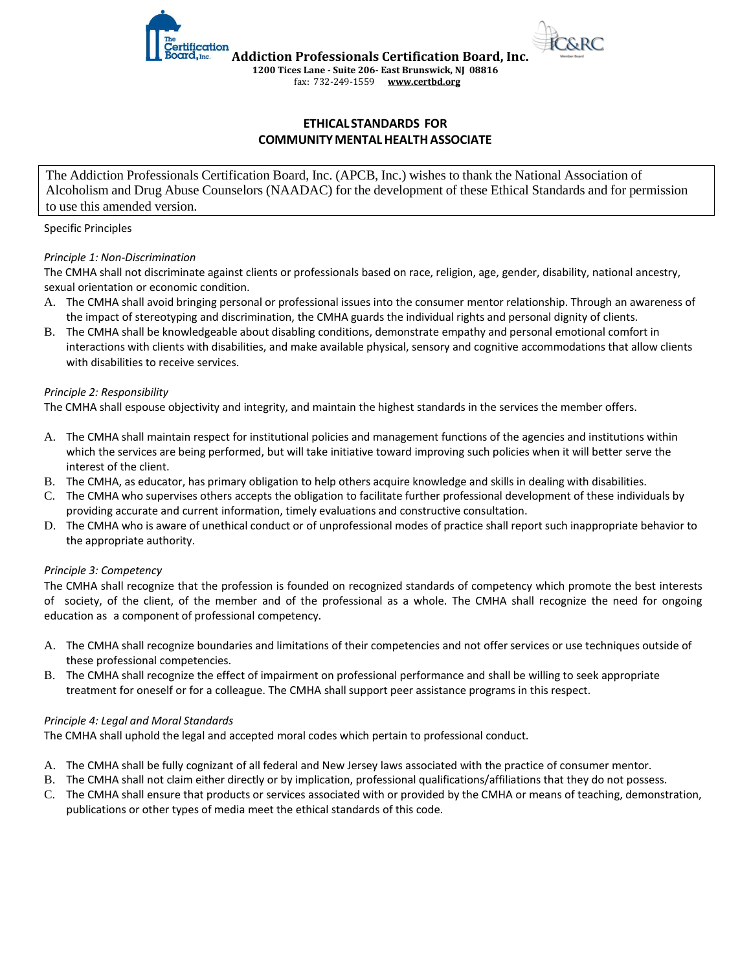

#### **ETHICAL STANDARDS FOR COMMUNITY MENTAL HEALTH ASSOCIATE**

The Addiction Professionals Certification Board, Inc. (APCB, Inc.) wishes to thank the National Association of Alcoholism and Drug Abuse Counselors (NAADAC) for the development of these Ethical Standards and for permission to use this amended version.

#### Specific Principles

#### *Principle 1: Non-Discrimination*

The CMHA shall not discriminate against clients or professionals based on race, religion, age, gender, disability, national ancestry, sexual orientation or economic condition.

- A. The CMHA shall avoid bringing personal or professional issues into the consumer mentor relationship. Through an awareness of the impact of stereotyping and discrimination, the CMHA guards the individual rights and personal dignity of clients.
- B. The CMHA shall be knowledgeable about disabling conditions, demonstrate empathy and personal emotional comfort in interactions with clients with disabilities, and make available physical, sensory and cognitive accommodations that allow clients with disabilities to receive services.

#### *Principle 2: Responsibility*

The CMHA shall espouse objectivity and integrity, and maintain the highest standards in the services the member offers.

- A. The CMHA shall maintain respect for institutional policies and management functions of the agencies and institutions within which the services are being performed, but will take initiative toward improving such policies when it will better serve the interest of the client.
- B. The CMHA, as educator, has primary obligation to help others acquire knowledge and skills in dealing with disabilities.
- C. The CMHA who supervises others accepts the obligation to facilitate further professional development of these individuals by providing accurate and current information, timely evaluations and constructive consultation.
- D. The CMHA who is aware of unethical conduct or of unprofessional modes of practice shall report such inappropriate behavior to the appropriate authority.

#### *Principle 3: Competency*

The CMHA shall recognize that the profession is founded on recognized standards of competency which promote the best interests of society, of the client, of the member and of the professional as a whole. The CMHA shall recognize the need for ongoing education as a component of professional competency.

- A. The CMHA shall recognize boundaries and limitations of their competencies and not offer services or use techniques outside of these professional competencies.
- B. The CMHA shall recognize the effect of impairment on professional performance and shall be willing to seek appropriate treatment for oneself or for a colleague. The CMHA shall support peer assistance programs in this respect.

#### *Principle 4: Legal and Moral Standards*

The CMHA shall uphold the legal and accepted moral codes which pertain to professional conduct.

- A. The CMHA shall be fully cognizant of all federal and New Jersey laws associated with the practice of consumer mentor.
- B. The CMHA shall not claim either directly or by implication, professional qualifications/affiliations that they do not possess.
- C. The CMHA shall ensure that products or services associated with or provided by the CMHA or means of teaching, demonstration, publications or other types of media meet the ethical standards of this code.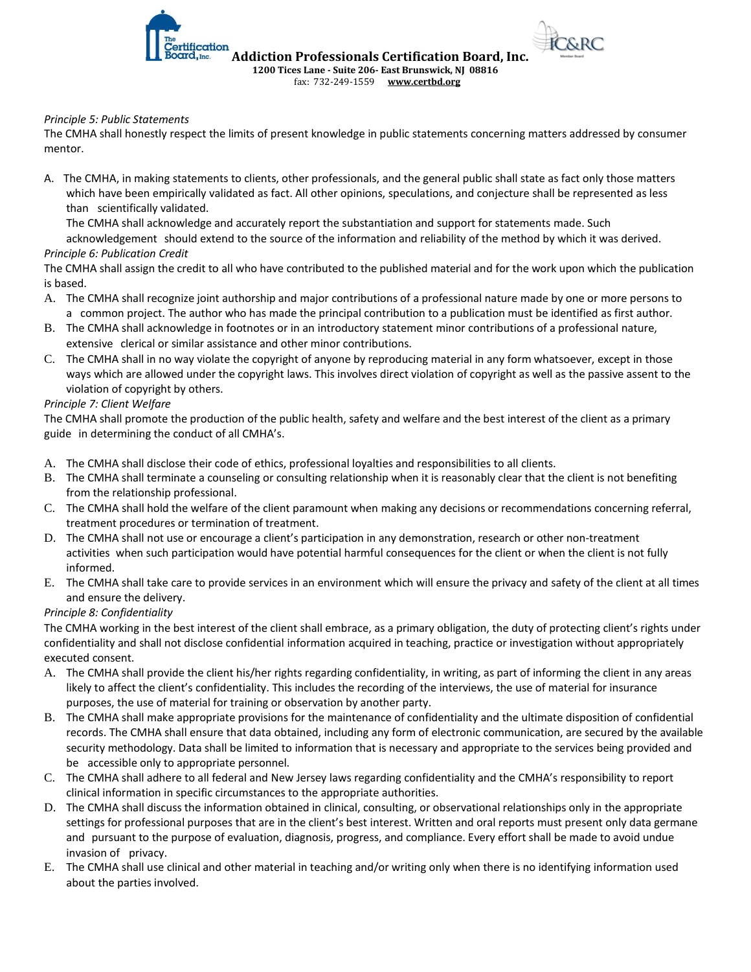fax: 732-249-1559 **[www.certbd.org](http://www.certbd.org/)** 

#### *Principle 5: Public Statements*

ification

The CMHA shall honestly respect the limits of present knowledge in public statements concerning matters addressed by consumer mentor.

A. The CMHA, in making statements to clients, other professionals, and the general public shall state as fact only those matters which have been empirically validated as fact. All other opinions, speculations, and conjecture shall be represented as less than scientifically validated.

The CMHA shall acknowledge and accurately report the substantiation and support for statements made. Such acknowledgement should extend to the source of the information and reliability of the method by which it was derived.

#### *Principle 6: Publication Credit*

The CMHA shall assign the credit to all who have contributed to the published material and for the work upon which the publication is based.

- A. The CMHA shall recognize joint authorship and major contributions of a professional nature made by one or more persons to a common project. The author who has made the principal contribution to a publication must be identified as first author.
- B. The CMHA shall acknowledge in footnotes or in an introductory statement minor contributions of a professional nature, extensive clerical or similar assistance and other minor contributions.
- C. The CMHA shall in no way violate the copyright of anyone by reproducing material in any form whatsoever, except in those ways which are allowed under the copyright laws. This involves direct violation of copyright as well as the passive assent to the violation of copyright by others.

#### *Principle 7: Client Welfare*

The CMHA shall promote the production of the public health, safety and welfare and the best interest of the client as a primary guide in determining the conduct of all CMHA's.

- A. The CMHA shall disclose their code of ethics, professional loyalties and responsibilities to all clients.
- B. The CMHA shall terminate a counseling or consulting relationship when it is reasonably clear that the client is not benefiting from the relationship professional.
- C. The CMHA shall hold the welfare of the client paramount when making any decisions or recommendations concerning referral, treatment procedures or termination of treatment.
- D. The CMHA shall not use or encourage a client's participation in any demonstration, research or other non-treatment activities when such participation would have potential harmful consequences for the client or when the client is not fully informed.
- E. The CMHA shall take care to provide services in an environment which will ensure the privacy and safety of the client at all times and ensure the delivery.

#### *Principle 8: Confidentiality*

The CMHA working in the best interest of the client shall embrace, as a primary obligation, the duty of protecting client's rights under confidentiality and shall not disclose confidential information acquired in teaching, practice or investigation without appropriately executed consent.

- A. The CMHA shall provide the client his/her rights regarding confidentiality, in writing, as part of informing the client in any areas likely to affect the client's confidentiality. This includes the recording of the interviews, the use of material for insurance purposes, the use of material for training or observation by another party.
- B. The CMHA shall make appropriate provisions for the maintenance of confidentiality and the ultimate disposition of confidential records. The CMHA shall ensure that data obtained, including any form of electronic communication, are secured by the available security methodology. Data shall be limited to information that is necessary and appropriate to the services being provided and be accessible only to appropriate personnel.
- C. The CMHA shall adhere to all federal and New Jersey laws regarding confidentiality and the CMHA's responsibility to report clinical information in specific circumstances to the appropriate authorities.
- D. The CMHA shall discuss the information obtained in clinical, consulting, or observational relationships only in the appropriate settings for professional purposes that are in the client's best interest. Written and oral reports must present only data germane and pursuant to the purpose of evaluation, diagnosis, progress, and compliance. Every effort shall be made to avoid undue invasion of privacy.
- E. The CMHA shall use clinical and other material in teaching and/or writing only when there is no identifying information used about the parties involved.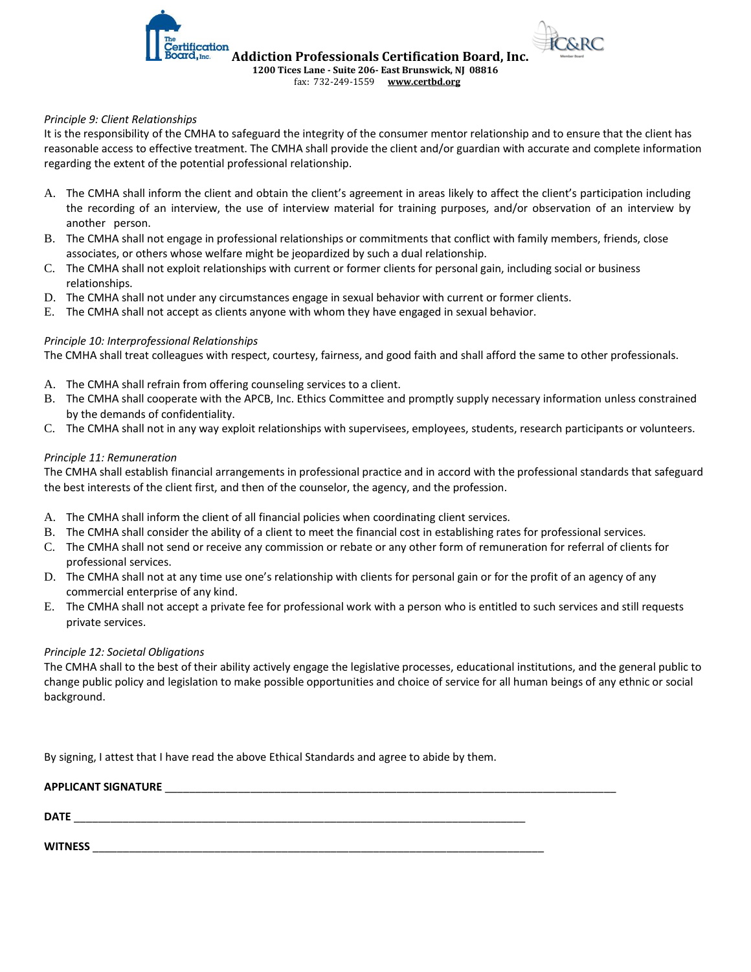

#### *Principle 9: Client Relationships*

It is the responsibility of the CMHA to safeguard the integrity of the consumer mentor relationship and to ensure that the client has reasonable access to effective treatment. The CMHA shall provide the client and/or guardian with accurate and complete information regarding the extent of the potential professional relationship.

- A. The CMHA shall inform the client and obtain the client's agreement in areas likely to affect the client's participation including the recording of an interview, the use of interview material for training purposes, and/or observation of an interview by another person.
- B. The CMHA shall not engage in professional relationships or commitments that conflict with family members, friends, close associates, or others whose welfare might be jeopardized by such a dual relationship.
- C. The CMHA shall not exploit relationships with current or former clients for personal gain, including social or business relationships.
- D. The CMHA shall not under any circumstances engage in sexual behavior with current or former clients.
- E. The CMHA shall not accept as clients anyone with whom they have engaged in sexual behavior.

#### *Principle 10: Interprofessional Relationships*

The CMHA shall treat colleagues with respect, courtesy, fairness, and good faith and shall afford the same to other professionals.

- A. The CMHA shall refrain from offering counseling services to a client.
- B. The CMHA shall cooperate with the APCB, Inc. Ethics Committee and promptly supply necessary information unless constrained by the demands of confidentiality.
- C. The CMHA shall not in any way exploit relationships with supervisees, employees, students, research participants or volunteers.

#### *Principle 11: Remuneration*

The CMHA shall establish financial arrangements in professional practice and in accord with the professional standards that safeguard the best interests of the client first, and then of the counselor, the agency, and the profession.

- A. The CMHA shall inform the client of all financial policies when coordinating client services.
- B. The CMHA shall consider the ability of a client to meet the financial cost in establishing rates for professional services.
- C. The CMHA shall not send or receive any commission or rebate or any other form of remuneration for referral of clients for professional services.
- D. The CMHA shall not at any time use one's relationship with clients for personal gain or for the profit of an agency of any commercial enterprise of any kind.
- E. The CMHA shall not accept a private fee for professional work with a person who is entitled to such services and still requests private services.

#### *Principle 12: Societal Obligations*

The CMHA shall to the best of their ability actively engage the legislative processes, educational institutions, and the general public to change public policy and legislation to make possible opportunities and choice of service for all human beings of any ethnic or social background.

By signing, I attest that I have read the above Ethical Standards and agree to abide by them.

| <b>APPLICANT SIGNATURE</b> |  |
|----------------------------|--|
| <b>DATE</b>                |  |
| <b>WITNESS</b>             |  |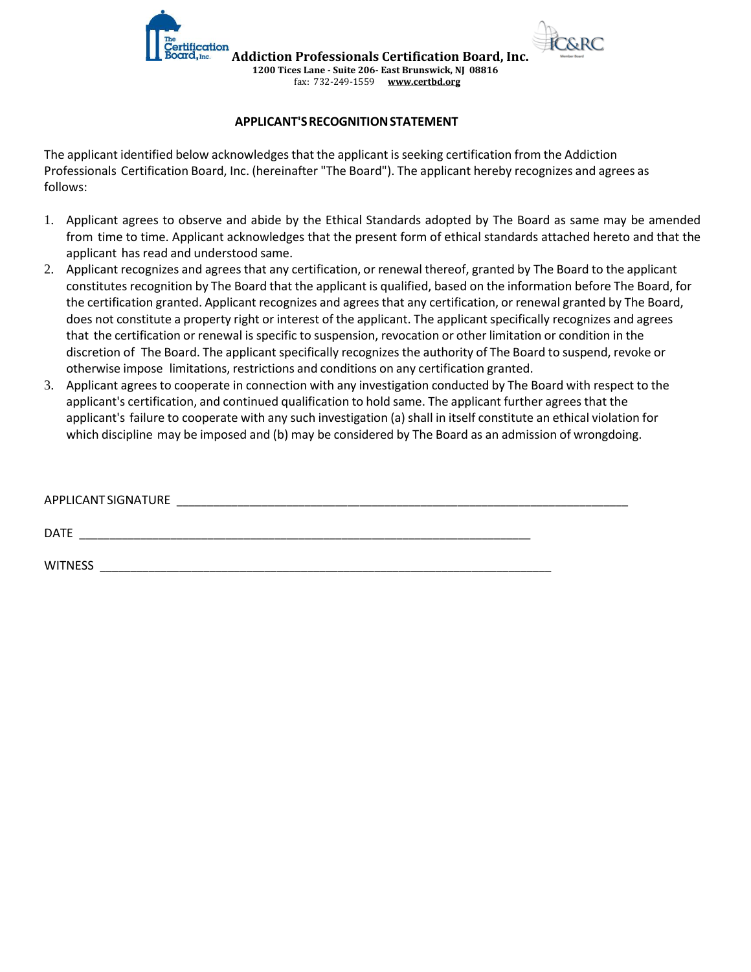

**Addiction Professionals Certification Board, Inc. 1200 Tices Lane - Suite 206- East Brunswick, NJ 08816**

fax: 732-249-1559 **[www.certbd.org](http://www.certbd.org/)** 

### **APPLICANT'S RECOGNITION STATEMENT**

tification

The applicant identified below acknowledges that the applicant is seeking certification from the Addiction Professionals Certification Board, Inc. (hereinafter "The Board"). The applicant hereby recognizes and agrees as follows:

- 1. Applicant agrees to observe and abide by the Ethical Standards adopted by The Board as same may be amended from time to time. Applicant acknowledges that the present form of ethical standards attached hereto and that the applicant has read and understood same.
- 2. Applicant recognizes and agrees that any certification, or renewal thereof, granted by The Board to the applicant constitutes recognition by The Board that the applicant is qualified, based on the information before The Board, for the certification granted. Applicant recognizes and agrees that any certification, or renewal granted by The Board, does not constitute a property right or interest of the applicant. The applicant specifically recognizes and agrees that the certification or renewal is specific to suspension, revocation or other limitation or condition in the discretion of The Board. The applicant specifically recognizes the authority of The Board to suspend, revoke or otherwise impose limitations, restrictions and conditions on any certification granted.
- 3. Applicant agrees to cooperate in connection with any investigation conducted by The Board with respect to the applicant's certification, and continued qualification to hold same. The applicant further agrees that the applicant's failure to cooperate with any such investigation (a) shall in itself constitute an ethical violation for which discipline may be imposed and (b) may be considered by The Board as an admission of wrongdoing.

| APPLICANT SIGNATURE |  |
|---------------------|--|
| DATE                |  |
| <b>WITNESS</b>      |  |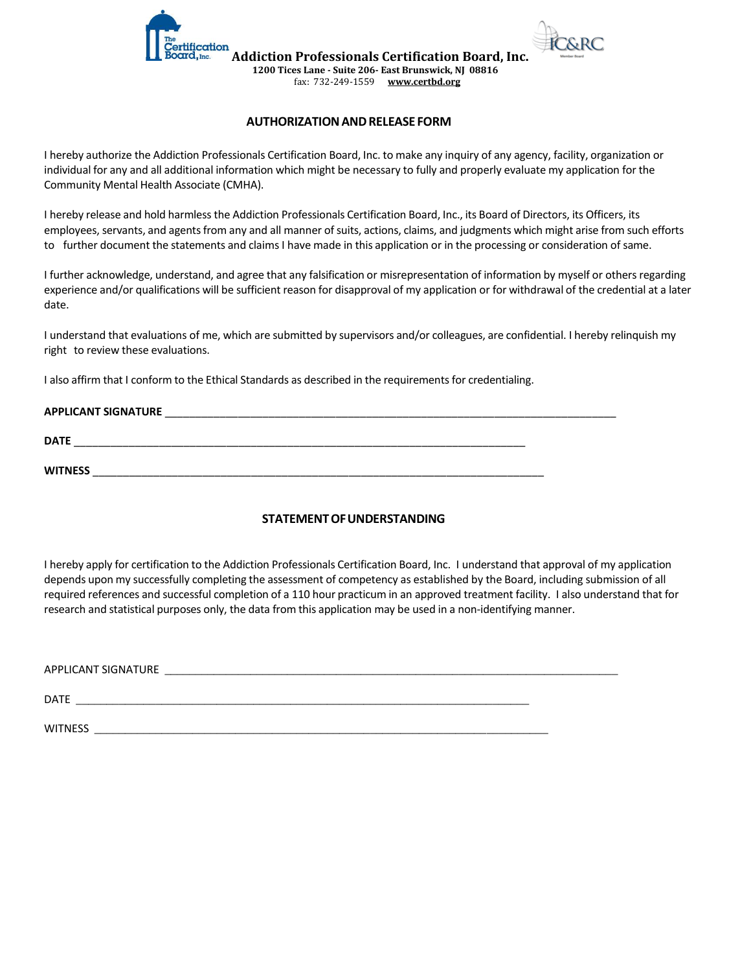



**1200 Tices Lane - Suite 206- East Brunswick, NJ 08816**

### fax: 732-249-1559 **[www.certbd.org](http://www.certbd.org/)**

#### **AUTHORIZATION AND RELEASE FORM**

I hereby authorize the Addiction Professionals Certification Board, Inc. to make any inquiry of any agency, facility, organization or individual for any and all additional information which might be necessary to fully and properly evaluate my application for the Community Mental Health Associate (CMHA).

I hereby release and hold harmless the Addiction Professionals Certification Board, Inc., its Board of Directors, its Officers, its employees, servants, and agents from any and all manner of suits, actions, claims, and judgments which might arise from such efforts to further document the statements and claims I have made in this application or in the processing or consideration of same.

I further acknowledge, understand, and agree that any falsification or misrepresentation of information by myself or others regarding experience and/or qualifications will be sufficient reason for disapproval of my application or for withdrawal of the credential at a later date.

I understand that evaluations of me, which are submitted by supervisors and/or colleagues, are confidential. I hereby relinquish my right to review these evaluations.

I also affirm that I conform to the Ethical Standards as described in the requirements for credentialing.

| <b>APPLICANT SIGNATURE</b> |  |
|----------------------------|--|
| <b>DATE</b>                |  |
| <b>WITNESS</b>             |  |

#### **STATEMENT OF UNDERSTANDING**

I hereby apply for certification to the Addiction Professionals Certification Board, Inc. I understand that approval of my application depends upon my successfully completing the assessment of competency as established by the Board, including submission of all required references and successful completion of a 110 hour practicum in an approved treatment facility. I also understand that for research and statistical purposes only, the data from this application may be used in a non-identifying manner.

| APPLICANT SIGNATURE |  |
|---------------------|--|
| <b>DATE</b>         |  |
| <b>WITNESS</b>      |  |